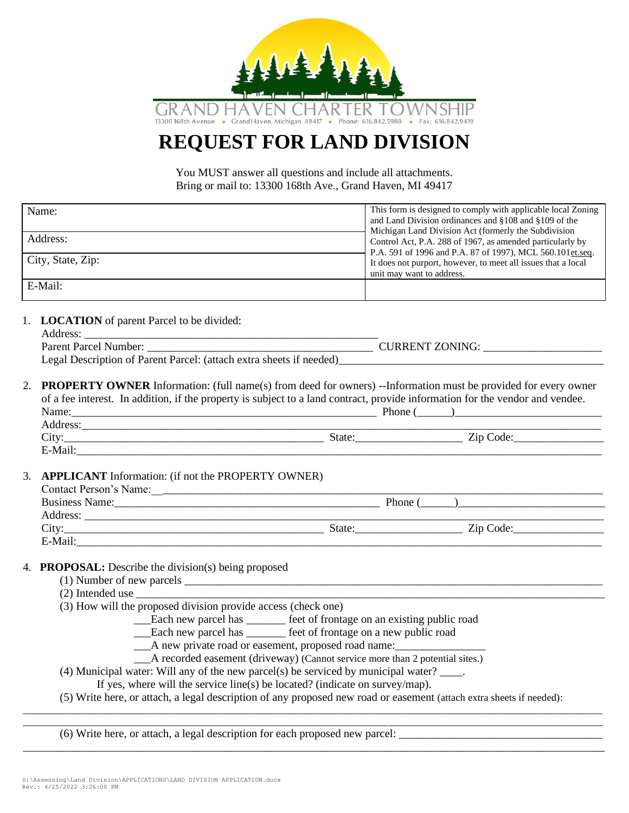

# **REQUEST FOR LAND DIVISION**

You MUST answer all questions and include all attachments. Bring or mail to: 13300 168th Ave., Grand Haven, MI 49417

| Name:             | This form is designed to comply with applicable local Zoning  |
|-------------------|---------------------------------------------------------------|
|                   | and Land Division ordinances and §108 and §109 of the         |
|                   | Michigan Land Division Act (formerly the Subdivision          |
| Address:          | Control Act, P.A. 288 of 1967, as amended particularly by     |
|                   | P.A. 591 of 1996 and P.A. 87 of 1997), MCL 560.101 et.seq.    |
| City, State, Zip: | It does not purport, however, to meet all issues that a local |
|                   | unit may want to address.                                     |
| E-Mail:           |                                                               |

1. **LOCATION** of parent Parcel to be divided:

| Address:                                                            |                        |
|---------------------------------------------------------------------|------------------------|
| <b>Parent Parcel Number:</b>                                        | <b>CURRENT ZONING:</b> |
| Legal Description of Parent Parcel: (attach extra sheets if needed) |                        |

2. **PROPERTY OWNER** Information: (full name(s) from deed for owners) --Information must be provided for every owner of a fee interest. In addition, if the property is subject to a land contract, provide information for the vendor and vendee. Name:\_\_\_\_\_\_\_\_\_\_\_\_\_\_\_\_\_\_\_\_\_\_\_\_\_\_\_\_\_\_\_\_\_\_\_\_\_\_\_\_\_\_\_\_\_\_\_\_\_\_\_\_\_\_ Phone (\_\_\_\_\_\_)\_\_\_\_\_\_\_\_\_\_\_\_\_\_\_\_\_\_\_\_\_\_\_\_\_\_ Address:\_\_\_\_\_\_\_\_\_\_\_\_\_\_\_\_\_\_\_\_\_\_\_\_\_\_\_\_\_\_\_\_\_\_\_\_\_\_\_\_\_\_\_\_\_\_\_\_\_\_\_\_\_\_\_\_\_\_\_\_\_\_\_\_\_\_\_\_\_\_\_\_\_\_\_\_\_\_\_\_\_\_\_\_\_\_\_\_\_\_\_\_

| $-$<br>$\mathop{\rm \cup}$ ity | State | code.<br>21 L |
|--------------------------------|-------|---------------|
| ∵د ∩ن<br>-ічан.                |       |               |

#### 3. **APPLICANT** Information: (if not the PROPERTY OWNER)

| <b>Contact Person's Name:</b> |         |           |  |
|-------------------------------|---------|-----------|--|
| <b>Business Name:</b>         | Phone ( |           |  |
| Address:                      |         |           |  |
| City:                         | State:  | Zip Code: |  |
| E-Mail:                       |         |           |  |

- 4. **PROPOSAL:** Describe the division(s) being proposed
	- $(1)$  Number of new parcels  $\overline{\phantom{a} \phantom{a}}$
	- $(2)$  Intended use
	- (3) How will the proposed division provide access (check one)
		- \_\_\_Each new parcel has \_\_\_\_\_\_\_ feet of frontage on an existing public road
			- \_\_\_Each new parcel has \_\_\_\_\_\_\_ feet of frontage on a new public road
			- \_\_\_A new private road or easement, proposed road name:\_\_\_\_\_\_\_\_\_\_\_\_\_\_\_\_
			- A recorded easement (driveway) (Cannot service more than 2 potential sites.)
	- (4) Municipal water: Will any of the new parcel(s) be serviced by municipal water?  $\qquad$ .
		- If yes, where will the service line(s) be located? (indicate on survey/map).
- (5) Write here, or attach, a legal description of any proposed new road or easement (attach extra sheets if needed): \_\_\_\_\_\_\_\_\_\_\_\_\_\_\_\_\_\_\_\_\_\_\_\_\_\_\_\_\_\_\_\_\_\_\_\_\_\_\_\_\_\_\_\_\_\_\_\_\_\_\_\_\_\_\_\_\_\_\_\_\_\_\_\_\_\_\_\_\_\_\_\_\_\_\_\_\_\_\_\_\_\_\_\_\_\_\_\_\_\_\_\_\_\_\_\_\_\_\_\_\_\_\_\_\_\_\_\_\_\_\_\_\_

\_\_\_\_\_\_\_\_\_\_\_\_\_\_\_\_\_\_\_\_\_\_\_\_\_\_\_\_\_\_\_\_\_\_\_\_\_\_\_\_\_\_\_\_\_\_\_\_\_\_\_\_\_\_\_\_\_\_\_\_\_\_\_\_\_\_\_\_\_\_\_\_\_\_\_\_\_\_\_\_\_\_\_\_\_\_\_\_\_\_\_\_\_\_\_\_\_\_\_\_\_\_\_\_\_\_\_\_\_\_\_\_\_

\_\_\_\_\_\_\_\_\_\_\_\_\_\_\_\_\_\_\_\_\_\_\_\_\_\_\_\_\_\_\_\_\_\_\_\_\_\_\_\_\_\_\_\_\_\_\_\_\_\_\_\_\_\_\_\_\_\_\_\_\_\_\_\_\_\_\_\_\_\_\_\_\_\_\_\_\_\_\_\_\_\_\_\_\_\_\_\_\_\_\_\_\_\_\_\_\_\_\_\_\_\_\_

(6) Write here, or attach, a legal description for each proposed new parcel: \_\_\_\_\_\_\_\_\_\_\_\_\_\_\_\_\_\_\_\_\_\_\_\_\_\_\_\_\_\_\_\_\_\_\_\_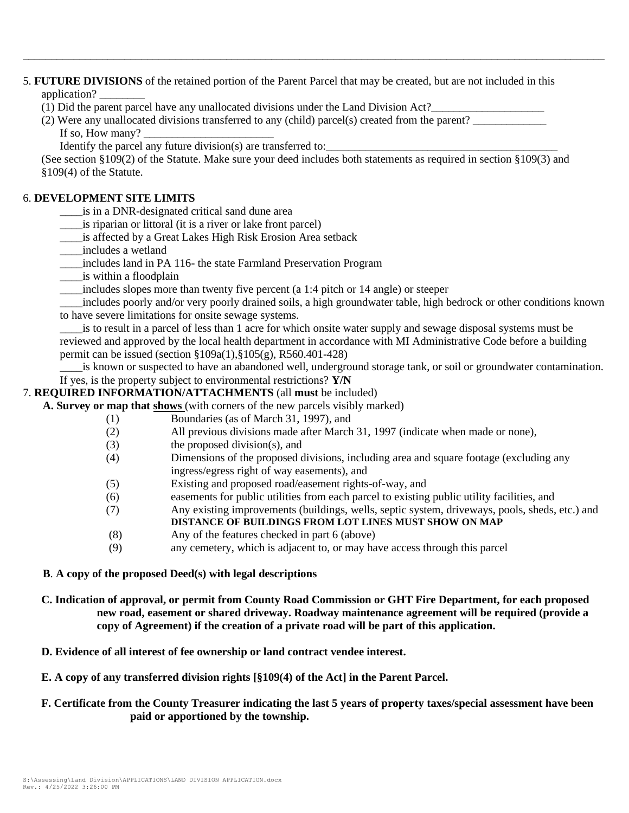5. **FUTURE DIVISIONS** of the retained portion of the Parent Parcel that may be created, but are not included in this application? \_\_\_\_\_\_\_\_

(1) Did the parent parcel have any unallocated divisions under the Land Division Act?

(2) Were any unallocated divisions transferred to any (child) parcel(s) created from the parent? If so, How many?

\_\_\_\_\_\_\_\_\_\_\_\_\_\_\_\_\_\_\_\_\_\_\_\_\_\_\_\_\_\_\_\_\_\_\_\_\_\_\_\_\_\_\_\_\_\_\_\_\_\_\_\_\_\_\_\_\_\_\_\_\_\_\_\_\_\_\_\_\_\_\_\_\_\_\_\_\_\_\_\_\_\_\_\_\_\_\_\_\_\_\_\_\_\_\_\_\_\_\_\_\_\_\_

Identify the parcel any future division(s) are transferred to:

(See section §109(2) of the Statute. Make sure your deed includes both statements as required in section §109(3) and §109(4) of the Statute.

## 6. **DEVELOPMENT SITE LIMITS**

- **\_\_\_\_**is in a DNR-designated critical sand dune area
- is riparian or littoral (it is a river or lake front parcel)
- \_\_\_\_is affected by a Great Lakes High Risk Erosion Area setback
- \_\_\_\_includes a wetland
- \_\_\_\_includes land in PA 116- the state Farmland Preservation Program
- \_\_\_\_is within a floodplain
- includes slopes more than twenty five percent (a 1:4 pitch or 14 angle) or steeper

\_\_\_\_includes poorly and/or very poorly drained soils, a high groundwater table, high bedrock or other conditions known to have severe limitations for onsite sewage systems.

is to result in a parcel of less than 1 acre for which onsite water supply and sewage disposal systems must be reviewed and approved by the local health department in accordance with MI Administrative Code before a building permit can be issued (section §109a(1),§105(g), R560.401-428)

is known or suspected to have an abandoned well, underground storage tank, or soil or groundwater contamination. If yes, is the property subject to environmental restrictions? **Y/N**

## 7. **REQUIRED INFORMATION/ATTACHMENTS** (all **must** be included)

- **A. Survey or map that shows** (with corners of the new parcels visibly marked)
	- (1) Boundaries (as of March 31, 1997), and
	- (2) All previous divisions made after March 31, 1997 (indicate when made or none),
	- (3) the proposed division(s), and
	- (4) Dimensions of the proposed divisions, including area and square footage (excluding any ingress/egress right of way easements), and
	- (5) Existing and proposed road/easement rights-of-way, and
	- (6) easements for public utilities from each parcel to existing public utility facilities, and
	- (7) Any existing improvements (buildings, wells, septic system, driveways, pools, sheds, etc.) and **DISTANCE OF BUILDINGS FROM LOT LINES MUST SHOW ON MAP**
	- (8) Any of the features checked in part 6 (above)
	- (9) any cemetery, which is adjacent to, or may have access through this parcel

### **B**. **A copy of the proposed Deed(s) with legal descriptions**

- **C. Indication of approval, or permit from County Road Commission or GHT Fire Department, for each proposed new road, easement or shared driveway. Roadway maintenance agreement will be required (provide a copy of Agreement) if the creation of a private road will be part of this application.**
- \_ 7 **D. Evidence of all interest of fee ownership or land contract vendee interest.**
- **E. A copy of any transferred division rights [§109(4) of the Act] in the Parent Parcel.**

### **F. Certificate from the County Treasurer indicating the last 5 years of property taxes/special assessment have been paid or apportioned by the township.**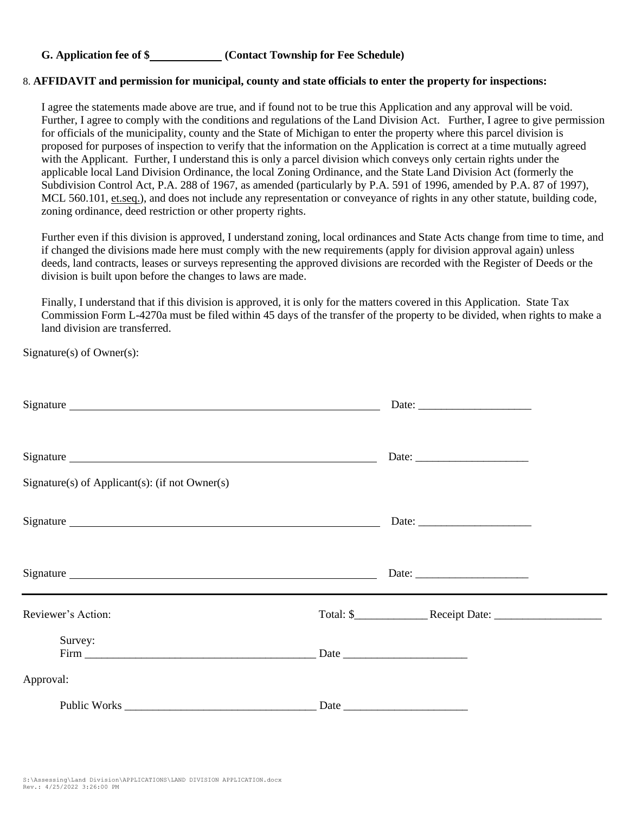## **G. Application fee of \$ (Contact Township for Fee Schedule)**

### 8. **AFFIDAVIT and permission for municipal, county and state officials to enter the property for inspections:**

I agree the statements made above are true, and if found not to be true this Application and any approval will be void. Further, I agree to comply with the conditions and regulations of the Land Division Act. Further, I agree to give permission for officials of the municipality, county and the State of Michigan to enter the property where this parcel division is proposed for purposes of inspection to verify that the information on the Application is correct at a time mutually agreed with the Applicant. Further, I understand this is only a parcel division which conveys only certain rights under the applicable local Land Division Ordinance, the local Zoning Ordinance, and the State Land Division Act (formerly the Subdivision Control Act, P.A. 288 of 1967, as amended (particularly by P.A. 591 of 1996, amended by P.A. 87 of 1997), MCL 560.101, et.seq.), and does not include any representation or conveyance of rights in any other statute, building code, zoning ordinance, deed restriction or other property rights.

Further even if this division is approved, I understand zoning, local ordinances and State Acts change from time to time, and if changed the divisions made here must comply with the new requirements (apply for division approval again) unless deeds, land contracts, leases or surveys representing the approved divisions are recorded with the Register of Deeds or the division is built upon before the changes to laws are made.

Finally, I understand that if this division is approved, it is only for the matters covered in this Application. State Tax Commission Form L-4270a must be filed within 45 days of the transfer of the property to be divided, when rights to make a land division are transferred.

Signature(s) of Owner(s):

| Signature                                                   |  |
|-------------------------------------------------------------|--|
| Signature<br>Signature(s) of Applicant(s): (if not Owner(s) |  |
|                                                             |  |
|                                                             |  |
| Reviewer's Action:                                          |  |
| Survey:                                                     |  |
| Approval:                                                   |  |
|                                                             |  |